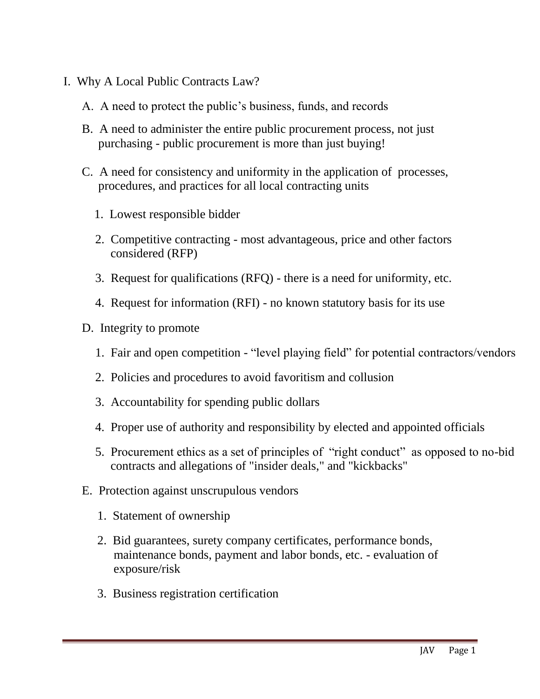- I. Why A Local Public Contracts Law?
	- A. A need to protect the public's business, funds, and records
	- B. A need to administer the entire public procurement process, not just purchasing - public procurement is more than just buying!
	- C. A need for consistency and uniformity in the application of processes, procedures, and practices for all local contracting units
		- 1. Lowest responsible bidder
		- 2. Competitive contracting most advantageous, price and other factors considered (RFP)
		- 3. Request for qualifications (RFQ) there is a need for uniformity, etc.
		- 4. Request for information (RFI) no known statutory basis for its use
	- D. Integrity to promote
		- 1. Fair and open competition "level playing field" for potential contractors/vendors
		- 2. Policies and procedures to avoid favoritism and collusion
		- 3. Accountability for spending public dollars
		- 4. Proper use of authority and responsibility by elected and appointed officials
		- 5. Procurement ethics as a set of principles of "right conduct" as opposed to no-bid contracts and allegations of "insider deals," and "kickbacks"
	- E. Protection against unscrupulous vendors
		- 1. Statement of ownership
		- 2. Bid guarantees, surety company certificates, performance bonds, maintenance bonds, payment and labor bonds, etc. - evaluation of exposure/risk
		- 3. Business registration certification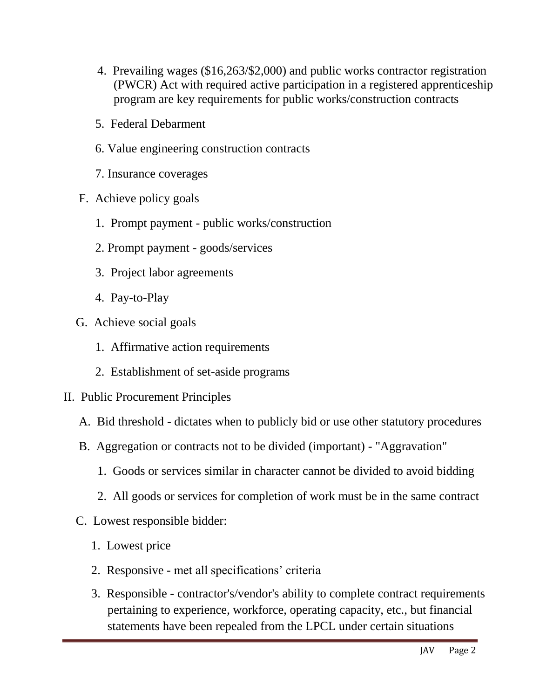- 4. Prevailing wages (\$16,263/\$2,000) and public works contractor registration (PWCR) Act with required active participation in a registered apprenticeship program are key requirements for public works/construction contracts
- 5. Federal Debarment
- 6. Value engineering construction contracts
- 7. Insurance coverages
- F. Achieve policy goals
	- 1. Prompt payment public works/construction
	- 2. Prompt payment goods/services
	- 3. Project labor agreements
	- 4. Pay-to-Play
- G. Achieve social goals
	- 1. Affirmative action requirements
	- 2. Establishment of set-aside programs
- II. Public Procurement Principles
	- A. Bid threshold dictates when to publicly bid or use other statutory procedures
	- B. Aggregation or contracts not to be divided (important) "Aggravation"
		- 1. Goods or services similar in character cannot be divided to avoid bidding
		- 2. All goods or services for completion of work must be in the same contract
	- C. Lowest responsible bidder:
		- 1. Lowest price
		- 2. Responsive met all specifications' criteria
		- 3. Responsible contractor's/vendor's ability to complete contract requirements pertaining to experience, workforce, operating capacity, etc., but financial statements have been repealed from the LPCL under certain situations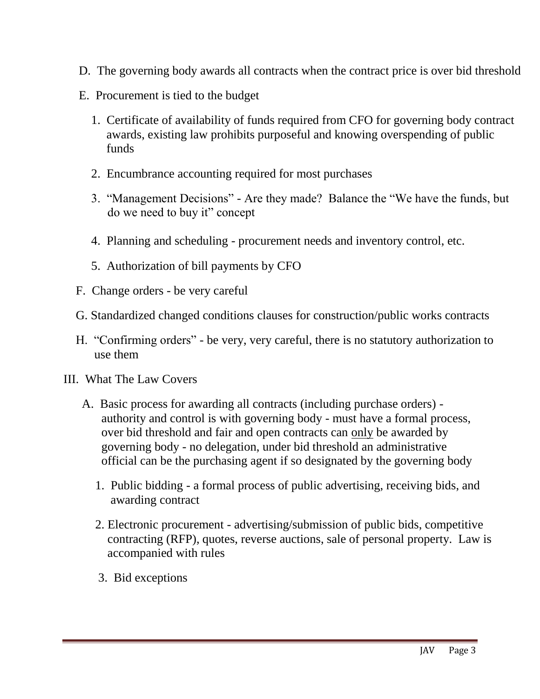- D. The governing body awards all contracts when the contract price is over bid threshold
- E. Procurement is tied to the budget
	- 1. Certificate of availability of funds required from CFO for governing body contract awards, existing law prohibits purposeful and knowing overspending of public funds
	- 2. Encumbrance accounting required for most purchases
	- 3. "Management Decisions" Are they made? Balance the "We have the funds, but do we need to buy it" concept
	- 4. Planning and scheduling procurement needs and inventory control, etc.
	- 5. Authorization of bill payments by CFO
- F. Change orders be very careful
- G. Standardized changed conditions clauses for construction/public works contracts
- H. "Confirming orders" be very, very careful, there is no statutory authorization to use them
- III. What The Law Covers
	- A. Basic process for awarding all contracts (including purchase orders) authority and control is with governing body - must have a formal process, over bid threshold and fair and open contracts can only be awarded by governing body - no delegation, under bid threshold an administrative official can be the purchasing agent if so designated by the governing body
		- 1. Public bidding a formal process of public advertising, receiving bids, and awarding contract
		- 2. Electronic procurement advertising/submission of public bids, competitive contracting (RFP), quotes, reverse auctions, sale of personal property. Law is accompanied with rules
		- 3. Bid exceptions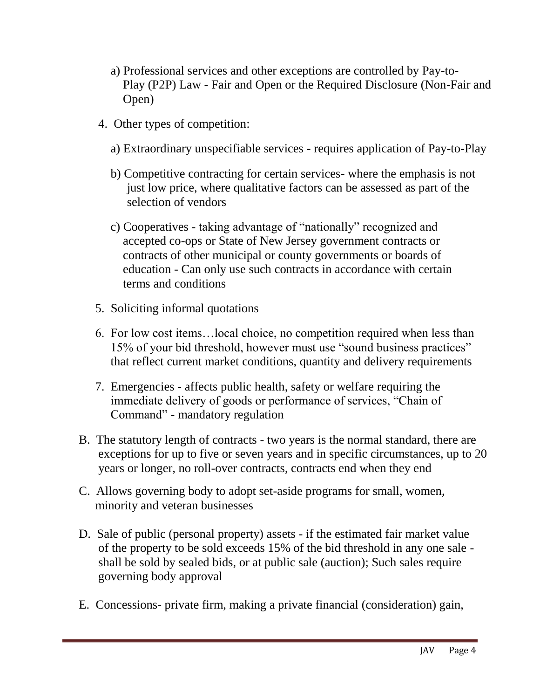- a) Professional services and other exceptions are controlled by Pay-to- Play (P2P) Law - Fair and Open or the Required Disclosure (Non-Fair and Open)
- 4. Other types of competition:
	- a) Extraordinary unspecifiable services requires application of Pay-to-Play
	- b) Competitive contracting for certain services- where the emphasis is not just low price, where qualitative factors can be assessed as part of the selection of vendors
	- c) Cooperatives taking advantage of "nationally" recognized and accepted co-ops or State of New Jersey government contracts or contracts of other municipal or county governments or boards of education - Can only use such contracts in accordance with certain terms and conditions
- 5. Soliciting informal quotations
- 6. For low cost items…local choice, no competition required when less than 15% of your bid threshold, however must use "sound business practices" that reflect current market conditions, quantity and delivery requirements
- 7. Emergencies affects public health, safety or welfare requiring the immediate delivery of goods or performance of services, "Chain of Command" - mandatory regulation
- B. The statutory length of contracts two years is the normal standard, there are exceptions for up to five or seven years and in specific circumstances, up to 20 years or longer, no roll-over contracts, contracts end when they end
- C. Allows governing body to adopt set-aside programs for small, women, minority and veteran businesses
- D. Sale of public (personal property) assets if the estimated fair market value of the property to be sold exceeds 15% of the bid threshold in any one sale shall be sold by sealed bids, or at public sale (auction); Such sales require governing body approval
- E. Concessions- private firm, making a private financial (consideration) gain,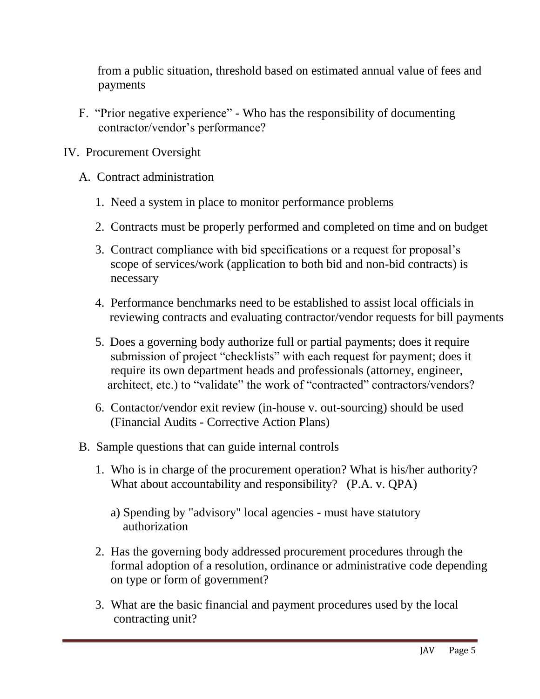from a public situation, threshold based on estimated annual value of fees and payments

- F. "Prior negative experience" Who has the responsibility of documenting contractor/vendor's performance?
- IV. Procurement Oversight
	- A. Contract administration
		- 1. Need a system in place to monitor performance problems
		- 2. Contracts must be properly performed and completed on time and on budget
		- 3. Contract compliance with bid specifications or a request for proposal's scope of services/work (application to both bid and non-bid contracts) is necessary
		- 4. Performance benchmarks need to be established to assist local officials in reviewing contracts and evaluating contractor/vendor requests for bill payments
		- 5. Does a governing body authorize full or partial payments; does it require submission of project "checklists" with each request for payment; does it require its own department heads and professionals (attorney, engineer, architect, etc.) to "validate" the work of "contracted" contractors/vendors?
		- 6. Contactor/vendor exit review (in-house v. out-sourcing) should be used (Financial Audits - Corrective Action Plans)
	- B. Sample questions that can guide internal controls
		- 1. Who is in charge of the procurement operation? What is his/her authority? What about accountability and responsibility? (P.A. v. QPA)
			- a) Spending by "advisory" local agencies must have statutory authorization
		- 2. Has the governing body addressed procurement procedures through the formal adoption of a resolution, ordinance or administrative code depending on type or form of government?
		- 3. What are the basic financial and payment procedures used by the local contracting unit?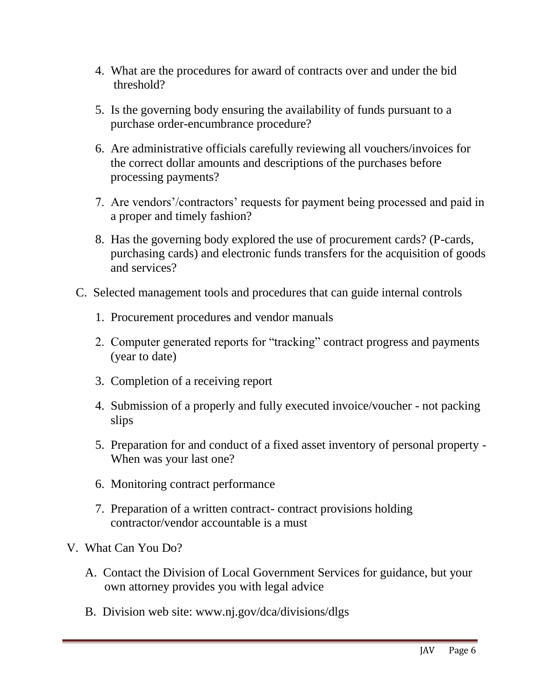- 4. What are the procedures for award of contracts over and under the bid threshold?
- 5. Is the governing body ensuring the availability of funds pursuant to a purchase order-encumbrance procedure?
- 6. Are administrative officials carefully reviewing all vouchers/invoices for the correct dollar amounts and descriptions of the purchases before processing payments?
- 7. Are vendors'/contractors' requests for payment being processed and paid in a proper and timely fashion?
- 8. Has the governing body explored the use of procurement cards? (P-cards, purchasing cards) and electronic funds transfers for the acquisition of goods and services?
- C. Selected management tools and procedures that can guide internal controls
	- 1. Procurement procedures and vendor manuals
	- 2. Computer generated reports for "tracking" contract progress and payments (year to date)
	- 3. Completion of a receiving report
	- 4. Submission of a properly and fully executed invoice/voucher not packing slips
	- 5. Preparation for and conduct of a fixed asset inventory of personal property When was your last one?
	- 6. Monitoring contract performance
	- 7. Preparation of a written contract- contract provisions holding contractor/vendor accountable is a must
- V. What Can You Do?
	- A. Contact the Division of Local Government Services for guidance, but your own attorney provides you with legal advice
	- B. Division web site: www.nj.gov/dca/divisions/dlgs